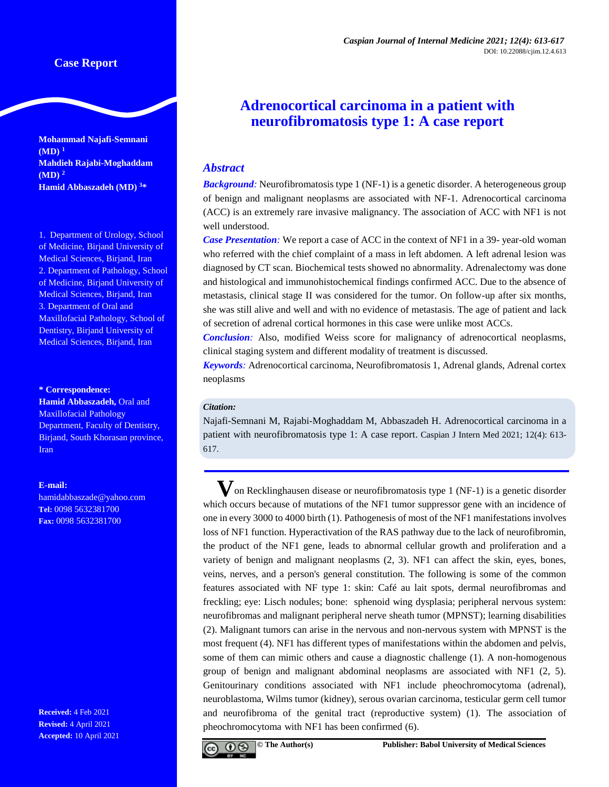# **Case Report**

**Mohammad Najafi-Semnani (MD) <sup>1</sup> Mahdieh Rajabi-Moghaddam (MD) <sup>2</sup> Hamid Abbaszadeh (MD) <sup>3</sup>\***

1. Department of Urology, School of Medicine, Birjand University of Medical Sciences, Birjand, Iran 2. Department of Pathology, School of Medicine, Birjand University of Medical Sciences, Birjand, Iran 3. Department of Oral and Maxillofacial Pathology, School of Dentistry, Birjand University of Medical Sciences, Birjand, Iran

#### **\* Correspondence:**

**Hamid Abbaszadeh,** Oral and Maxillofacial Pathology Department, Faculty of Dentistry, Birjand, South Khorasan province, Iran

### **E-mail:**

[hamidabbaszade@yahoo.com](mailto:hamidabbaszade@yahoo.com) **Tel:** 0098 5632381700 **Fax:** 0098 5632381700

**Received:** 4 Feb 2021 **Revised:** 4 April 2021 **Accepted:** 10 April 2021

# **Adrenocortical carcinoma in a patient with neurofibromatosis type 1: A case report**

## *Abstract*

**Background**: Neurofibromatosis type 1 (NF-1) is a genetic disorder. A heterogeneous group of benign and malignant neoplasms are associated with NF-1. Adrenocortical carcinoma (ACC) is an extremely rare invasive malignancy. The association of ACC with NF1 is not well understood.

*Case Presentation:* We report a case of ACC in the context of NF1 in a 39- year-old woman who referred with the chief complaint of a mass in left abdomen. A left adrenal lesion was diagnosed by CT scan. Biochemical tests showed no abnormality. Adrenalectomy was done and histological and immunohistochemical findings confirmed ACC. Due to the absence of metastasis, clinical stage II was considered for the tumor. On follow-up after six months, she was still alive and well and with no evidence of metastasis. The age of patient and lack of secretion of adrenal cortical hormones in this case were unlike most ACCs.

*Conclusion:* Also, modified Weiss score for malignancy of adrenocortical neoplasms, clinical staging system and different modality of treatment is discussed.

*Keywords:* Adrenocortical carcinoma, Neurofibromatosis 1, Adrenal glands, Adrenal cortex neoplasms

## *Citation:*

Najafi-Semnani M, Rajabi-Moghaddam M, Abbaszadeh H. Adrenocortical carcinoma in a patient with neurofibromatosis type 1: A case report. Caspian J Intern Med 2021; 12(4): 613- 617.

**V**on Recklinghausen disease or neurofibromatosis type 1 (NF-1) is a genetic disorder which occurs because of mutations of the NF1 tumor suppressor gene with an incidence of one in every 3000 to 4000 birth (1). Pathogenesis of most of the NF1 manifestations involves loss of NF1 function. Hyperactivation of the RAS pathway due to the lack of neurofibromin, the product of the NF1 gene, leads to abnormal cellular growth and proliferation and a variety of benign and malignant neoplasms (2, 3). NF1 can affect the skin, eyes, bones, veins, nerves, and a person's general constitution. The following is some of the common features associated with NF type 1: skin: Café au lait spots, dermal neurofibromas and freckling; eye: Lisch nodules; bone: sphenoid wing dysplasia; peripheral nervous system: neurofibromas and malignant peripheral nerve sheath tumor (MPNST); learning disabilities (2). Malignant tumors can arise in the nervous and non-nervous system with MPNST is the most frequent (4). NF1 has different types of manifestations within the abdomen and pelvis, some of them can mimic others and cause a diagnostic challenge (1). A non-homogenous group of benign and malignant abdominal neoplasms are associated with NF1 (2, 5). Genitourinary conditions associated with NF1 include pheochromocytoma (adrenal), neuroblastoma, Wilms tumor (kidney), serous ovarian carcinoma, testicular germ cell tumor and neurofibroma of the genital tract (reproductive system) (1). The association of pheochromocytoma with NF1 has been confirmed (6).

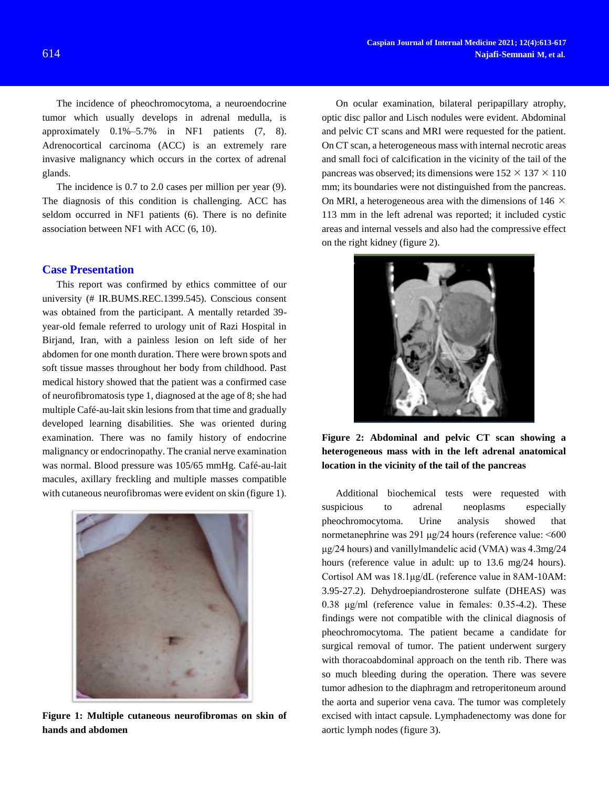The incidence of pheochromocytoma, a neuroendocrine tumor which usually develops in adrenal medulla, is approximately 0.1%–5.7% in NF1 patients (7, 8). Adrenocortical carcinoma (ACC) is an extremely rare invasive malignancy which occurs in the cortex of adrenal glands.

The incidence is 0.7 to 2.0 cases per million per year (9). The diagnosis of this condition is challenging. ACC has seldom occurred in NF1 patients (6). There is no definite association between NF1 with ACC (6, 10).

## **Case Presentation**

This report was confirmed by ethics committee of our university (# IR.BUMS.REC.1399.545). Conscious consent was obtained from the participant. A mentally retarded 39 year-old female referred to urology unit of Razi Hospital in Birjand, Iran, with a painless lesion on left side of her abdomen for one month duration. There were brown spots and soft tissue masses throughout her body from childhood. Past medical history showed that the patient was a confirmed case of neurofibromatosis type 1, diagnosed at the age of 8; she had multiple Café-au-lait skin lesions from that time and gradually developed learning disabilities. She was oriented during examination. There was no family history of endocrine malignancy or endocrinopathy. The cranial nerve examination was normal. Blood pressure was 105/65 mmHg. Café-au-lait macules, axillary freckling and multiple masses compatible with cutaneous neurofibromas were evident on skin (figure 1).



**Figure 1: Multiple cutaneous neurofibromas on skin of hands and abdomen**

On ocular examination, bilateral peripapillary atrophy, optic disc pallor and Lisch nodules were evident. Abdominal and pelvic CT scans and MRI were requested for the patient. On CT scan, a heterogeneous mass with internal necrotic areas and small foci of calcification in the vicinity of the tail of the pancreas was observed; its dimensions were  $152 \times 137 \times 110$ mm; its boundaries were not distinguished from the pancreas. On MRI, a heterogeneous area with the dimensions of 146  $\times$ 113 mm in the left adrenal was reported; it included cystic areas and internal vessels and also had the compressive effect on the right kidney (figure 2).



**Figure 2: Abdominal and pelvic CT scan showing a heterogeneous mass with in the left adrenal anatomical location in the vicinity of the tail of the pancreas**

Additional biochemical tests were requested with suspicious to adrenal neoplasms especially pheochromocytoma. Urine analysis showed that normetanephrine was 291 μg/24 hours (reference value: <600 μg/24 hours) and vanillylmandelic acid (VMA) was 4.3mg/24 hours (reference value in adult: up to 13.6 mg/24 hours). Cortisol AM was 18.1μg/dL (reference value in 8AM-10AM: 3.95-27.2). Dehydroepiandrosterone sulfate (DHEAS) was 0.38 μg/ml (reference value in females: 0.35-4.2). These findings were not compatible with the clinical diagnosis of pheochromocytoma. The patient became a candidate for surgical removal of tumor. The patient underwent surgery with thoracoabdominal approach on the tenth rib. There was so much bleeding during the operation. There was severe tumor adhesion to the diaphragm and retroperitoneum around the aorta and superior vena cava. The tumor was completely excised with intact capsule. Lymphadenectomy was done for aortic lymph nodes (figure 3).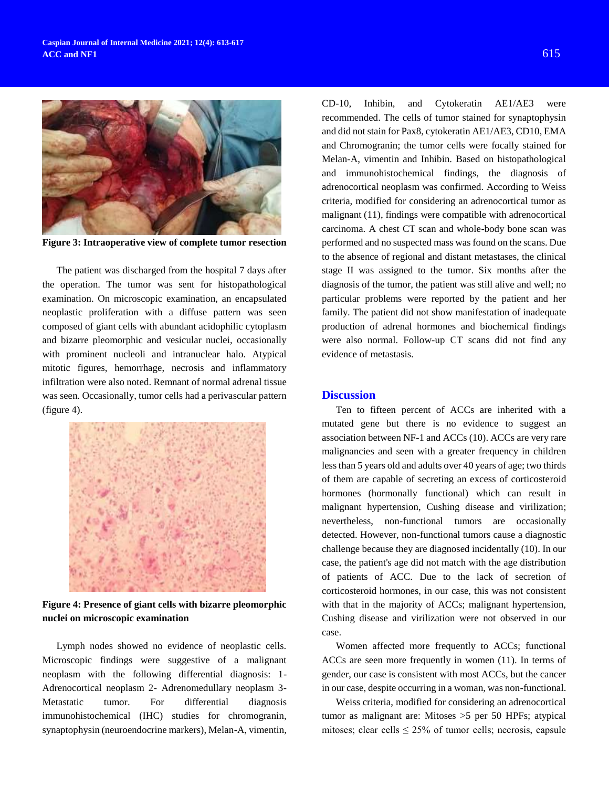

**Figure 3: Intraoperative view of complete tumor resection**

The patient was discharged from the hospital 7 days after the operation. The tumor was sent for histopathological examination. On microscopic examination, an encapsulated neoplastic proliferation with a diffuse pattern was seen composed of giant cells with abundant acidophilic cytoplasm and bizarre pleomorphic and vesicular nuclei, occasionally with prominent nucleoli and intranuclear halo. Atypical mitotic figures, hemorrhage, necrosis and inflammatory infiltration were also noted. Remnant of normal adrenal tissue was seen. Occasionally, tumor cells had a perivascular pattern (figure 4).



**Figure 4: Presence of giant cells with bizarre pleomorphic nuclei on microscopic examination**

Lymph nodes showed no evidence of neoplastic cells. Microscopic findings were suggestive of a malignant neoplasm with the following differential diagnosis: 1- Adrenocortical neoplasm 2- Adrenomedullary neoplasm 3- Metastatic tumor. For differential diagnosis immunohistochemical (IHC) studies for chromogranin, synaptophysin (neuroendocrine markers), Melan-A, vimentin,

CD-10, Inhibin, and Cytokeratin AE1/AE3 were recommended. The cells of tumor stained for synaptophysin and did not stain for Pax8, cytokeratin AE1/AE3, CD10, EMA and Chromogranin; the tumor cells were focally stained for Melan-A, vimentin and Inhibin. Based on histopathological and immunohistochemical findings, the diagnosis of adrenocortical neoplasm was confirmed. According to Weiss criteria, modified for considering an adrenocortical tumor as malignant (11), findings were compatible with adrenocortical carcinoma. A chest CT scan and whole-body bone scan was performed and no suspected mass was found on the scans. Due to the absence of regional and distant metastases, the clinical stage II was assigned to the tumor. Six months after the diagnosis of the tumor, the patient was still alive and well; no particular problems were reported by the patient and her family. The patient did not show manifestation of inadequate production of adrenal hormones and biochemical findings were also normal. Follow-up CT scans did not find any evidence of metastasis.

## **Discussion**

Ten to fifteen percent of ACCs are inherited with a mutated gene but there is no evidence to suggest an association between NF-1 and ACCs (10). ACCs are very rare malignancies and seen with a greater frequency in children less than 5 years old and adults over 40 years of age; two thirds of them are capable of secreting an excess of corticosteroid hormones (hormonally functional) which can result in malignant hypertension, Cushing disease and virilization; nevertheless, non-functional tumors are occasionally detected. However, non-functional tumors cause a diagnostic challenge because they are diagnosed incidentally (10). In our case, the patient's age did not match with the age distribution of patients of ACC. Due to the lack of secretion of corticosteroid hormones, in our case, this was not consistent with that in the majority of ACCs; malignant hypertension, Cushing disease and virilization were not observed in our case.

Women affected more frequently to ACCs; functional ACCs are seen more frequently in women (11). In terms of gender, our case is consistent with most ACCs, but the cancer in our case, despite occurring in a woman, was non-functional.

Weiss criteria, modified for considering an adrenocortical tumor as malignant are: Mitoses >5 per 50 HPFs; atypical mitoses; clear cells  $\leq 25\%$  of tumor cells; necrosis, capsule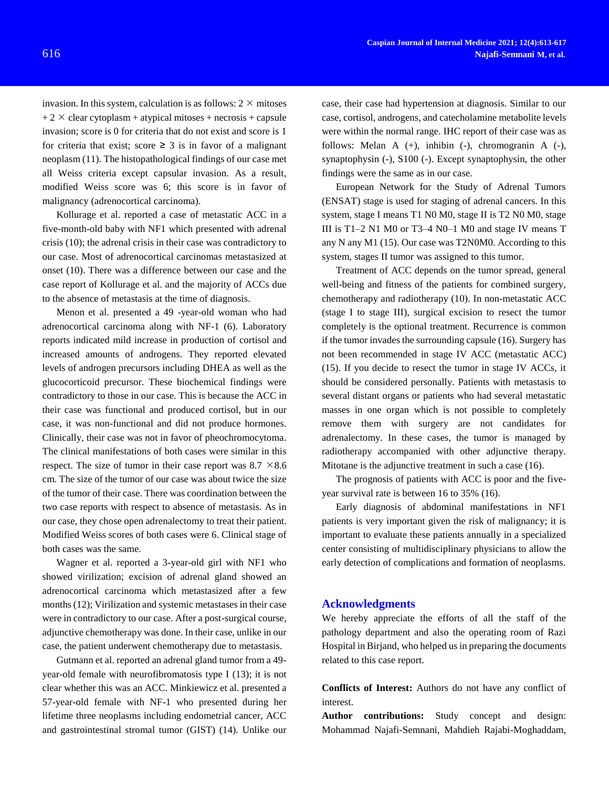invasion. In this system, calculation is as follows:  $2 \times$  mitoses  $+ 2 \times$  clear cytoplasm + atypical mitoses + necrosis + capsule invasion; score is 0 for criteria that do not exist and score is 1 for criteria that exist; score  $\geq$  3 is in favor of a malignant neoplasm (11). The histopathological findings of our case met all Weiss criteria except capsular invasion. As a result, modified Weiss score was 6; this score is in favor of malignancy (adrenocortical carcinoma).

Kollurage et al. reported a case of metastatic ACC in a five-month-old baby with NF1 which presented with adrenal crisis (10); the adrenal crisis in their case was contradictory to our case. Most of adrenocortical carcinomas metastasized at onset (10). There was a difference between our case and the case report of Kollurage et al. and the majority of ACCs due to the absence of metastasis at the time of diagnosis.

Menon et al. presented a 49 -year-old woman who had adrenocortical carcinoma along with NF-1 (6). Laboratory reports indicated mild increase in production of cortisol and increased amounts of androgens. They reported elevated levels of androgen precursors including DHEA as well as the glucocorticoid precursor. These biochemical findings were contradictory to those in our case. This is because the ACC in their case was functional and produced cortisol, but in our case, it was non-functional and did not produce hormones. Clinically, their case was not in favor of pheochromocytoma. The clinical manifestations of both cases were similar in this respect. The size of tumor in their case report was  $8.7 \times 8.6$ cm. The size of the tumor of our case was about twice the size of the tumor of their case. There was coordination between the two case reports with respect to absence of metastasis. As in our case, they chose open adrenalectomy to treat their patient. Modified Weiss scores of both cases were 6. Clinical stage of both cases was the same.

Wagner et al. reported a 3-year-old girl with NF1 who showed virilization; excision of adrenal gland showed an adrenocortical carcinoma which metastasized after a few months (12); Virilization and systemic metastases in their case were in contradictory to our case. After a post-surgical course, adjunctive chemotherapy was done. In their case, unlike in our case, the patient underwent chemotherapy due to metastasis.

Gutmann et al. reported an adrenal gland tumor from a 49 year-old female with neurofibromatosis type I (13); it is not clear whether this was an ACC. Minkiewicz et al. presented a 57-year-old female with NF-1 who presented during her lifetime three neoplasms including endometrial cancer, ACC and gastrointestinal stromal tumor (GIST) (14). Unlike our case, their case had hypertension at diagnosis. Similar to our case, cortisol, androgens, and catecholamine metabolite levels were within the normal range. IHC report of their case was as follows: Melan A  $(+)$ , inhibin  $(-)$ , chromogranin A  $(-)$ , synaptophysin (-), S100 (-). Except synaptophysin, the other findings were the same as in our case.

European Network for the Study of Adrenal Tumors (ENSAT) stage is used for staging of adrenal cancers. In this system, stage I means T1 N0 M0, stage II is T2 N0 M0, stage III is T1–2 N1 M0 or T3–4 N0–1 M0 and stage IV means T any N any M1 (15). Our case was T2N0M0. According to this system, stages II tumor was assigned to this tumor.

Treatment of ACC depends on the tumor spread, general well-being and fitness of the patients for combined surgery, chemotherapy and radiotherapy (10). In non-metastatic ACC (stage I to stage III), surgical excision to resect the tumor completely is the optional treatment. Recurrence is common if the tumor invades the surrounding capsule (16). Surgery has not been recommended in stage IV ACC (metastatic ACC) (15). If you decide to resect the tumor in stage IV ACCs, it should be considered personally. Patients with metastasis to several distant organs or patients who had several metastatic masses in one organ which is not possible to completely remove them with surgery are not candidates for adrenalectomy. In these cases, the tumor is managed by radiotherapy accompanied with other adjunctive therapy. Mitotane is the adjunctive treatment in such a case (16).

The prognosis of patients with ACC is poor and the fiveyear survival rate is between 16 to 35% (16).

Early diagnosis of abdominal manifestations in NF1 patients is very important given the risk of malignancy; it is important to evaluate these patients annually in a specialized center consisting of multidisciplinary physicians to allow the early detection of complications and formation of neoplasms.

## **Acknowledgments**

We hereby appreciate the efforts of all the staff of the pathology department and also the operating room of Razi Hospital in Birjand, who helped us in preparing the documents related to this case report.

**Conflicts of Interest:** Authors do not have any conflict of interest.

**Author contributions:** Study concept and design: Mohammad Najafi-Semnani, Mahdieh Rajabi-Moghaddam,